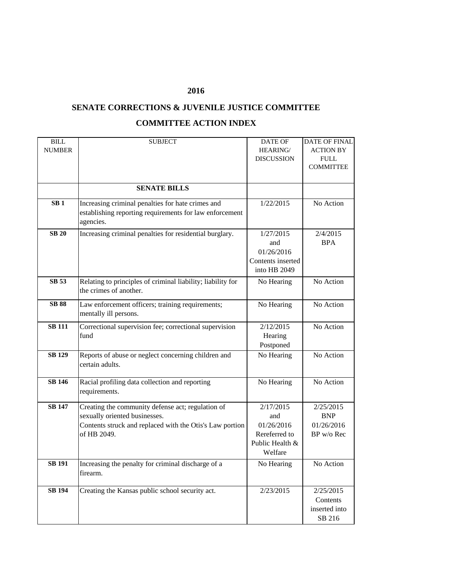## **2016**

## **SENATE CORRECTIONS & JUVENILE JUSTICE COMMITTEE COMMITTEE ACTION INDEX**

| <b>BILL</b>     | <b>SUBJECT</b>                                              | DATE OF           | <b>DATE OF FINAL</b> |
|-----------------|-------------------------------------------------------------|-------------------|----------------------|
| <b>NUMBER</b>   |                                                             | <b>HEARING/</b>   | <b>ACTION BY</b>     |
|                 |                                                             | <b>DISCUSSION</b> | <b>FULL</b>          |
|                 |                                                             |                   | <b>COMMITTEE</b>     |
|                 |                                                             |                   |                      |
|                 | <b>SENATE BILLS</b>                                         |                   |                      |
| SB <sub>1</sub> | Increasing criminal penalties for hate crimes and           | 1/22/2015         | No Action            |
|                 | establishing reporting requirements for law enforcement     |                   |                      |
|                 | agencies.                                                   |                   |                      |
| <b>SB 20</b>    | Increasing criminal penalties for residential burglary.     | 1/27/2015         | 2/4/2015             |
|                 |                                                             | and               | <b>BPA</b>           |
|                 |                                                             | 01/26/2016        |                      |
|                 |                                                             | Contents inserted |                      |
|                 |                                                             | into HB 2049      |                      |
| <b>SB 53</b>    | Relating to principles of criminal liability; liability for | No Hearing        | No Action            |
|                 | the crimes of another.                                      |                   |                      |
| <b>SB 88</b>    | Law enforcement officers; training requirements;            | No Hearing        | No Action            |
|                 | mentally ill persons.                                       |                   |                      |
| <b>SB 111</b>   | Correctional supervision fee; correctional supervision      | 2/12/2015         | No Action            |
|                 | fund                                                        | Hearing           |                      |
|                 |                                                             | Postponed         |                      |
| <b>SB 129</b>   | Reports of abuse or neglect concerning children and         | No Hearing        | No Action            |
|                 | certain adults.                                             |                   |                      |
|                 |                                                             |                   |                      |
| <b>SB 146</b>   | Racial profiling data collection and reporting              | No Hearing        | No Action            |
|                 | requirements.                                               |                   |                      |
| <b>SB 147</b>   | Creating the community defense act; regulation of           | 2/17/2015         | 2/25/2015            |
|                 | sexually oriented businesses.                               | and               | <b>BNP</b>           |
|                 | Contents struck and replaced with the Otis's Law portion    | 01/26/2016        | 01/26/2016           |
|                 | of HB 2049.                                                 | Rereferred to     | BP w/o Rec           |
|                 |                                                             | Public Health &   |                      |
|                 |                                                             | Welfare           |                      |
| <b>SB 191</b>   | Increasing the penalty for criminal discharge of a          | No Hearing        | No Action            |
|                 | firearm.                                                    |                   |                      |
|                 |                                                             |                   |                      |
| <b>SB 194</b>   | Creating the Kansas public school security act.             | 2/23/2015         | 2/25/2015            |
|                 |                                                             |                   | Contents             |
|                 |                                                             |                   | inserted into        |
|                 |                                                             |                   | SB 216               |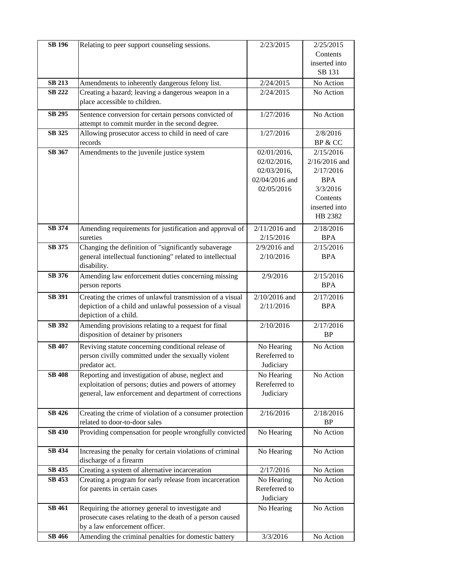| <b>SB 196</b> | Relating to peer support counseling sessions.             | 2/23/2015       | 2/25/2015       |
|---------------|-----------------------------------------------------------|-----------------|-----------------|
|               |                                                           |                 | Contents        |
|               |                                                           |                 | inserted into   |
|               |                                                           |                 | SB 131          |
| <b>SB 213</b> | Amendments to inherently dangerous felony list.           | 2/24/2015       | No Action       |
| <b>SB 222</b> | Creating a hazard; leaving a dangerous weapon in a        | 2/24/2015       | No Action       |
|               | place accessible to children.                             |                 |                 |
| SB 295        | Sentence conversion for certain persons convicted of      | 1/27/2016       | No Action       |
|               | attempt to commit murder in the second degree.            |                 |                 |
| <b>SB 325</b> | Allowing prosecutor access to child in need of care       | 1/27/2016       | 2/8/2016        |
|               | records                                                   |                 | BP & CC         |
| SB 367        | Amendments to the juvenile justice system                 | 02/01/2016,     | 2/15/2016       |
|               |                                                           | 02/02/2016,     | $2/16/2016$ and |
|               |                                                           | 02/03/2016,     | 2/17/2016       |
|               |                                                           | 02/04/2016 and  | <b>BPA</b>      |
|               |                                                           | 02/05/2016      | 3/3/2016        |
|               |                                                           |                 | Contents        |
|               |                                                           |                 | inserted into   |
|               |                                                           |                 | HB 2382         |
| <b>SB 374</b> | Amending requirements for justification and approval of   | $2/11/2016$ and | 2/18/2016       |
|               | sureties                                                  | 2/15/2016       | <b>BPA</b>      |
| SB 375        | Changing the definition of "significantly subaverage      | $2/9/2016$ and  | 2/15/2016       |
|               | general intellectual functioning" related to intellectual | 2/10/2016       | <b>BPA</b>      |
|               | disability.                                               |                 |                 |
| <b>SB 376</b> | Amending law enforcement duties concerning missing        | 2/9/2016        | 2/15/2016       |
|               | person reports                                            |                 | <b>BPA</b>      |
| <b>SB 391</b> | Creating the crimes of unlawful transmission of a visual  | $2/10/2016$ and | 2/17/2016       |
|               | depiction of a child and unlawful possession of a visual  | 2/11/2016       | <b>BPA</b>      |
|               | depiction of a child.                                     |                 |                 |
| SB 392        | Amending provisions relating to a request for final       | 2/10/2016       | 2/17/2016       |
|               | disposition of detainer by prisoners                      |                 | <b>BP</b>       |
| <b>SB 407</b> | Reviving statute concerning conditional release of        | No Hearing      | No Action       |
|               | person civilly committed under the sexually violent       | Rereferred to   |                 |
|               | predator act.                                             | Judiciary       |                 |
| <b>SB 408</b> | Reporting and investigation of abuse, neglect and         | No Hearing      | No Action       |
|               | exploitation of persons; duties and powers of attorney    | Rereferred to   |                 |
|               | general, law enforcement and department of corrections    | Judiciary       |                 |
|               |                                                           |                 |                 |
| SB 426        | Creating the crime of violation of a consumer protection  | 2/16/2016       | 2/18/2016       |
|               | related to door-to-door sales                             |                 | <b>BP</b>       |
| <b>SB 430</b> | Providing compensation for people wrongfully convicted    | No Hearing      | No Action       |
|               |                                                           |                 |                 |
| SB 434        | Increasing the penalty for certain violations of criminal | No Hearing      | No Action       |
|               | discharge of a firearm                                    |                 |                 |
| SB 435        | Creating a system of alternative incarceration            | 2/17/2016       | No Action       |
| SB 453        | Creating a program for early release from incarceration   | No Hearing      | No Action       |
|               | for parents in certain cases                              | Rereferred to   |                 |
|               |                                                           | Judiciary       |                 |
| SB 461        | Requiring the attorney general to investigate and         | No Hearing      | No Action       |
|               | prosecute cases relating to the death of a person caused  |                 |                 |
|               | by a law enforcement officer.                             |                 |                 |
| SB 466        | Amending the criminal penalties for domestic battery      | 3/3/2016        | No Action       |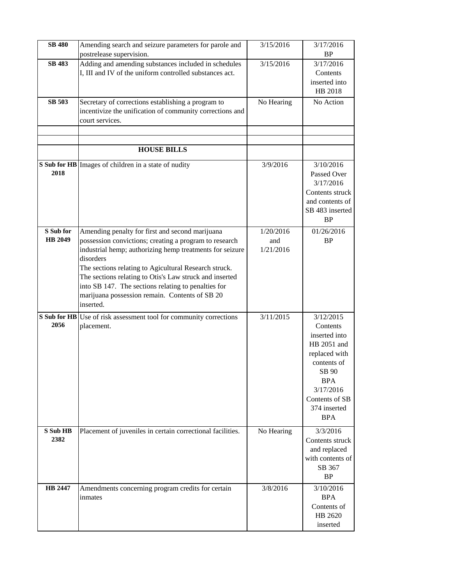| <b>SB 480</b>        | Amending search and seizure parameters for parole and<br>postrelease supervision.                                                                                                                                                                                                                                                                                                                                            | 3/15/2016                     | 3/17/2016<br><b>BP</b>                                                                                                                                                    |
|----------------------|------------------------------------------------------------------------------------------------------------------------------------------------------------------------------------------------------------------------------------------------------------------------------------------------------------------------------------------------------------------------------------------------------------------------------|-------------------------------|---------------------------------------------------------------------------------------------------------------------------------------------------------------------------|
| <b>SB 483</b>        | Adding and amending substances included in schedules<br>I, III and IV of the uniform controlled substances act.                                                                                                                                                                                                                                                                                                              | 3/15/2016                     | 3/17/2016<br>Contents<br>inserted into<br>HB 2018                                                                                                                         |
| <b>SB 503</b>        | Secretary of corrections establishing a program to<br>incentivize the unification of community corrections and<br>court services.                                                                                                                                                                                                                                                                                            | No Hearing                    | No Action                                                                                                                                                                 |
|                      | <b>HOUSE BILLS</b>                                                                                                                                                                                                                                                                                                                                                                                                           |                               |                                                                                                                                                                           |
| 2018                 | S Sub for HB Images of children in a state of nudity                                                                                                                                                                                                                                                                                                                                                                         | 3/9/2016                      | 3/10/2016<br>Passed Over<br>3/17/2016<br>Contents struck<br>and contents of<br>SB 483 inserted<br><b>BP</b>                                                               |
| S Sub for<br>HB 2049 | Amending penalty for first and second marijuana<br>possession convictions; creating a program to research<br>industrial hemp; authorizing hemp treatments for seizure<br>disorders<br>The sections relating to Agicultural Research struck.<br>The sections relating to Otis's Law struck and inserted<br>into SB 147. The sections relating to penalties for<br>marijuana possession remain. Contents of SB 20<br>inserted. | 1/20/2016<br>and<br>1/21/2016 | 01/26/2016<br><b>BP</b>                                                                                                                                                   |
| 2056                 | S Sub for HB Use of risk assessment tool for community corrections<br>placement.                                                                                                                                                                                                                                                                                                                                             | 3/11/2015                     | 3/12/2015<br>Contents<br>inserted into<br>HB 2051 and<br>replaced with<br>contents of<br>SB 90<br><b>BPA</b><br>3/17/2016<br>Contents of SB<br>374 inserted<br><b>BPA</b> |
| S Sub HB<br>2382     | Placement of juveniles in certain correctional facilities.                                                                                                                                                                                                                                                                                                                                                                   | No Hearing                    | 3/3/2016<br>Contents struck<br>and replaced<br>with contents of<br>SB 367<br><b>BP</b>                                                                                    |
| HB 2447              | Amendments concerning program credits for certain<br>inmates                                                                                                                                                                                                                                                                                                                                                                 | 3/8/2016                      | 3/10/2016<br><b>BPA</b><br>Contents of<br>HB 2620<br>inserted                                                                                                             |